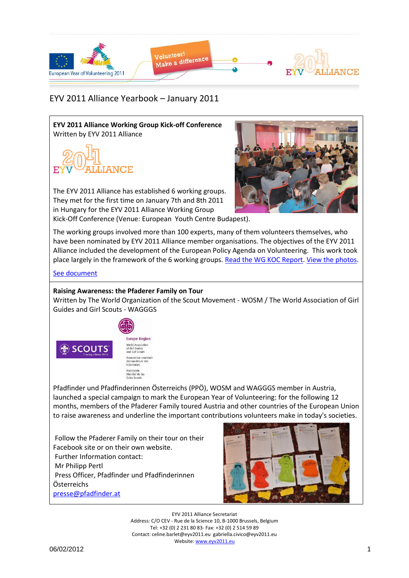

## EYV 2011 Alliance Yearbook – January 2011

**EYV 2011 Alliance Working Group Kick-off Conference** Written by EYV 2011 Alliance





The EYV 2011 Alliance has established 6 working groups. They met for the first time on January 7th and 8th 2011 in Hungary for the EYV 2011 Alliance Working Group Kick-Off Conference (Venue: European Youth Centre Budapest).

The working groups involved more than 100 experts, many of them volunteers themselves, who have been nominated by EYV 2011 Alliance member organisations. The objectives of the EYV 2011 Alliance included the development of the European Policy Agenda on Volunteering. This work took place largely in the framework of the 6 working groups. [Read the WG KOC Report.](http://www.eyv2011.eu/images/stories/eyv2011alliance_wg_koc_report_final.pdf) [View the photos.](http://www.facebook.com/media/set/?set=a.215691948442944.64378.212863205392485&type=1&l=96caacf3cd)

## [See document](Yearbook_Jan2011_Docs/eyv2011alliance_wg_koc_report_final.pdf)

## **Raising Awareness: the Pfaderer Family on Tour**

Written by The World Organization of the Scout Movement - WOSM / The World Association of Girl Guides and Girl Scouts - WAGGGS



Pfadfinder und Pfadfinderinnen Österreichs (PPÖ), WOSM and WAGGGS member in Austria, launched a special campaign to mark the European Year of Volunteering: for the following 12 months, members of the Pfaderer Family toured Austria and other countries of the European Union to raise awareness and underline the important contributions volunteers make in today's societies.

Follow the Pfaderer Family on their tour on their Facebook site or on their own website. Further Information contact: Mr Philipp Pertl Press Officer, Pfadfinder und Pfadfinderinnen Österreichs [presse@pfadfinder.at](mailto:presse@pfadfinder.at)



EYV 2011 Alliance Secretariat Address: C/O CEV - Rue de la Science 10, B-1000 Brussels, Belgium Tel: +32 (0) 2 231 80 83- Fax: +32 (0) 2 514 59 89 Contact: celine.barlet@eyv2011.eu gabriella.civico@eyv2011.eu Website: www.eyv2011.eu